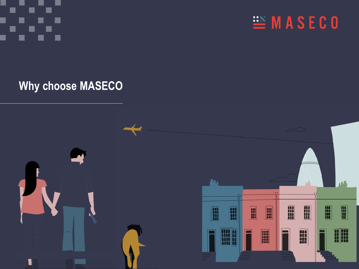EMASECO

**Why choose MASECO**

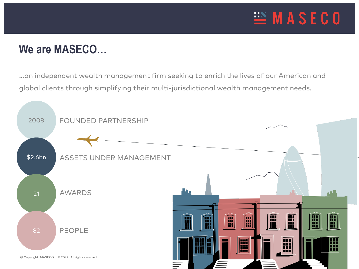

### **We are MASECO…**

…an independent wealth management firm seeking to enrich the lives of our American and global clients through simplifying their multi-jurisdictional wealth management needs.

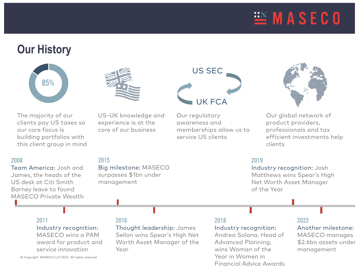## $\equiv$  MASECO

### **Our History**



The majority of our clients pay US taxes so our core focus is building portfolios with this client group in mind

### 2008

Team America: Josh and James, the heads of the US desk at Citi Smith Barney leave to found MASECO Private Wealth

US-UK knowledge and experience is at the core of our business

Big milestone: MASECO surpasses \$1bn under

# US SEC UK FCA

Our regulatory awareness and memberships allow us to service US clients



Our global network of product providers, professionals and tax efficient investments help clients

### 2019

Industry recognition: Josh Matthews wins Spear's High Net Worth Asset Manager of the Year

#### 2011

Industry recognition: MASECO wins a PAM award for product and service innovation

#### 2016

management

2015

Thought leadership: James Sellon wins Spear's High Net Worth Asset Manager of the Year

### 2018

Industry recognition:

Andrea Solana, Head of Advanced Planning, wins Woman of the Year in Women in Financial Advice Awards

### 2022

Another milestone:

MASECO manages \$2.6bn assets under management

© Copyright MASECO LLP 2022. All rights reserved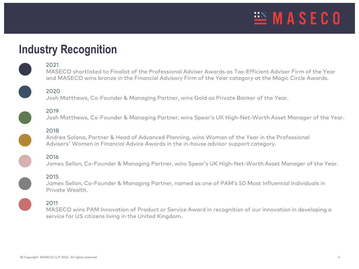

### **Industry Recognition**

#### 2021

MASECO shortlisted to Finalist of the Professional Adviser Awards as Tax-Efficient Adviser Firm of the Year and MASECO wins bronze in the Financial Advisory Firm of the Year category at the Magic Circle Awards.

2020

Josh Matthews, Co-Founder & Managing Partner, wins Gold as Private Banker of the Year.

2019 Josh Matthews, Co-Founder & Managing Partner, wins Spear's UK High-Net-Worth Asset Manager of the Year.

#### 2018

Andrea Solana, Partner & Head of Advanced Planning, wins Woman of the Year in the Professional Advisers' Women in Financial Advice Awards in the in-house advisor support category.

2016

James Sellon, Co-Founder & Managing Partner, wins Spear's UK High-Net-Worth Asset Manager of the Year.

#### 2015

James Sellon, Co-Founder & Managing Partner, named as one of PAM's 50 Most Influential Individuals in Private Wealth.

#### 2011

MASECO wins PAM Innovation of Product or Service Award in recognition of our innovation in developing a service for US citizens living in the United Kingdom.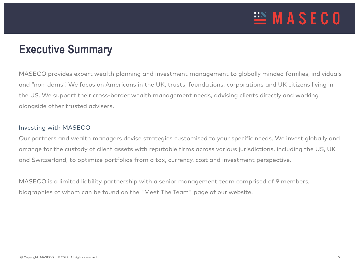

### **Executive Summary**

MASECO provides expert wealth planning and investment management to globally minded families, individuals and "non-doms". We focus on Americans in the UK, trusts, foundations, corporations and UK citizens living in the US. We support their cross-border wealth management needs, advising clients directly and working alongside other trusted advisers.

#### Investing with MASECO

Our partners and wealth managers devise strategies customised to your specific needs. We invest globally and arrange for the custody of client assets with reputable firms across various jurisdictions, including the US, UK and Switzerland, to optimize portfolios from a tax, currency, cost and investment perspective.

MASECO is a limited liability partnership with a senior management team comprised of 9 members, biographies of whom can be found on the "Meet The Team" page of our website.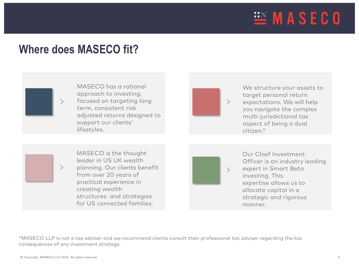

### **Where does MASECO fit?**



 $\left\langle \right\rangle$ 

MASECO has a rational approach to investing, focused on targeting long term, consistent risk adjusted returns designed to support our clients' lifestyles.



We structure your assets to target personal return expectations. We will help you navigate the complex multi-jurisdictional tax aspect of being a dual citizen.\*

MASECO is the thought leader in US UK wealth planning. Our clients benefit from over 20 years of practical experience in creating wealth structures and strategies for US connected families.

 $\left\langle \right\rangle$ 

Our Chief Investment Officer is an industry leading expert in Smart Beta investing. This expertise allows us to allocate capital in a strategic and rigorous manner.

\*MASECO LLP is not a tax adviser and we recommend clients consult their professional tax adviser regarding the tax consequences of any investment strategy.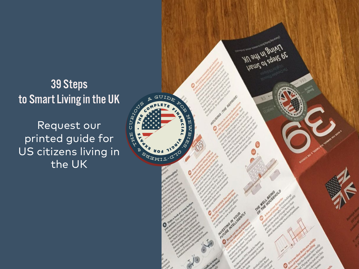## • This slide… 39 Steps to Smart Living in the UK

Request our printed guide for US citizens living in the UK

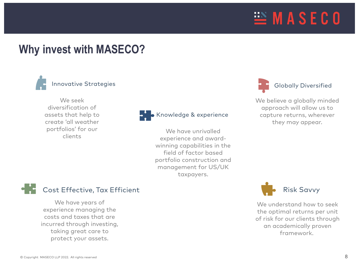

### **Why invest with MASECO?**



We seek diversification of assets that help to create 'all weather portfolios' for our clients



**B** Knowledge & experience

We have unrivalled experience and awardwinning capabilities in the field of factor based portfolio construction and management for US/UK taxpayers.



We believe a globally minded approach will allow us to capture returns, wherever they may appear.



We have years of experience managing the costs and taxes that are incurred through investing, taking great care to protect your assets.



We understand how to seek the optimal returns per unit of risk for our clients through an academically proven framework.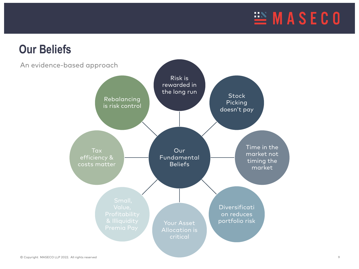

### **Our Beliefs**

An evidence-based approach

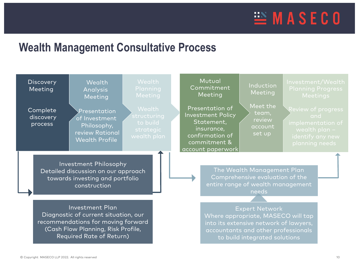

### **Wealth Management Consultative Process**

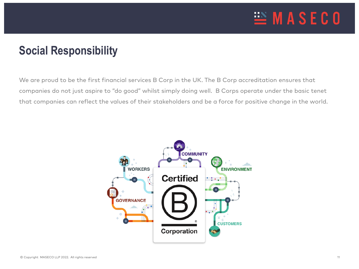

### **Social Responsibility**

We are proud to be the first financial services B Corp in the UK. The B Corp accreditation ensures that companies do not just aspire to "do good" whilst simply doing well. B Corps operate under the basic tenet that companies can reflect the values of their stakeholders and be a force for positive change in the world.

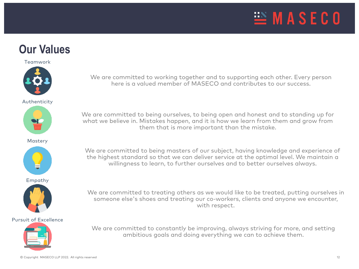

### **Our Values**

Teamwork



Authenticity







Empathy



#### Pursuit of Excellence

We are committed to working together and to supporting each other. Every person here is a valued member of MASECO and contributes to our success.

We are committed to being ourselves, to being open and honest and to standing up for what we believe in. Mistakes happen, and it is how we learn from them and grow from them that is more important than the mistake.

We are committed to being masters of our subject, having knowledge and experience of the highest standard so that we can deliver service at the optimal level. We maintain a willingness to learn, to further ourselves and to better ourselves always.

We are committed to treating others as we would like to be treated, putting ourselves in someone else's shoes and treating our co-workers, clients and anyone we encounter, with respect.



We are committed to constantly be improving, always striving for more, and setting ambitious goals and doing everything we can to achieve them.